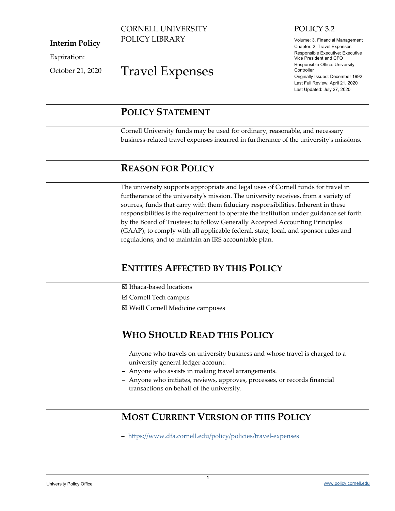#### CORNELL UNIVERSITY POLICY LIBRARY

**Interim Policy**

Expiration:

October 21, 2020

# Travel Expenses

## POLICY 3.2

Volume: 3, Financial Management Chapter: 2, Travel Expenses Responsible Executive: Executive Vice President and CFO Responsible Office: University **Controller** Originally Issued: December 1992 Last Full Review: April 21, 2020 Last Updated: July 27, 2020

## <span id="page-0-0"></span>**POLICY STATEMENT**

Cornell University funds may be used for ordinary, reasonable, and necessary business-related travel expenses incurred in furtherance of the university's missions.

## <span id="page-0-1"></span>**REASON FOR POLICY**

The university supports appropriate and legal uses of Cornell funds for travel in furtherance of the university's mission. The university receives, from a variety of sources, funds that carry with them fiduciary responsibilities. Inherent in these responsibilities is the requirement to operate the institution under guidance set forth by the Board of Trustees; to follow Generally Accepted Accounting Principles (GAAP); to comply with all applicable federal, state, local, and sponsor rules and regulations; and to maintain an IRS accountable plan.

# <span id="page-0-2"></span>**ENTITIES AFFECTED BY THIS POLICY**

- **Ø** Ithaca-based locations
- Cornell Tech campus
- Weill Cornell Medicine campuses

# <span id="page-0-3"></span>**WHO SHOULD READ THIS POLICY**

- ‒ Anyone who travels on university business and whose travel is charged to a university general ledger account.
- ‒ Anyone who assists in making travel arrangements.
- ‒ Anyone who initiates, reviews, approves, processes, or records financial transactions on behalf of the university.

# <span id="page-0-4"></span>**MOST CURRENT VERSION OF THIS POLICY**

‒ <https://www.dfa.cornell.edu/policy/policies/travel-expenses>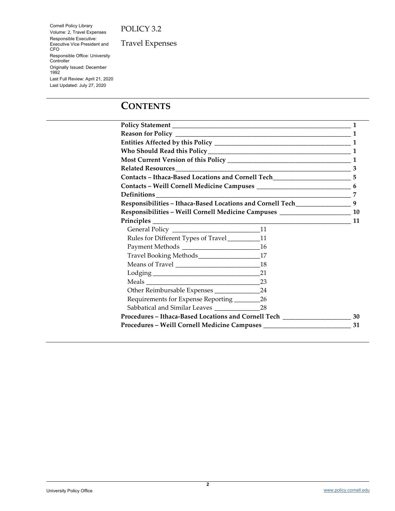Cornell Policy Library Volume: 2, Travel Expenses Responsible Executive: Executive Vice President and CFO Responsible Office: University Controller Originally Issued: December 1992 Last Full Review: April 21, 2020 Last Updated: July 27, 2020

Travel Expenses

## **CONTENTS**

|                                                                                                                                                                                                                                |  | $\mathbf{1}$ |
|--------------------------------------------------------------------------------------------------------------------------------------------------------------------------------------------------------------------------------|--|--------------|
| Policy Statement Management Management Contractor and Management Contractor and Management Contractor and Management Contractor and Management Contractor and Management Contractor and Management Contractor and Management C |  |              |
|                                                                                                                                                                                                                                |  |              |
|                                                                                                                                                                                                                                |  |              |
|                                                                                                                                                                                                                                |  |              |
|                                                                                                                                                                                                                                |  |              |
| Contacts - Ithaca-Based Locations and Cornell Tech_____________________________5                                                                                                                                               |  |              |
|                                                                                                                                                                                                                                |  |              |
|                                                                                                                                                                                                                                |  |              |
| Responsibilities - Ithaca-Based Locations and Cornell Tech___________________9                                                                                                                                                 |  |              |
| Responsibilities - Weill Cornell Medicine Campuses _____________________________ 10                                                                                                                                            |  |              |
|                                                                                                                                                                                                                                |  | 11           |
|                                                                                                                                                                                                                                |  |              |
| Rules for Different Types of Travel___________11                                                                                                                                                                               |  |              |
|                                                                                                                                                                                                                                |  |              |
| Travel Booking Methods_____________________17                                                                                                                                                                                  |  |              |
|                                                                                                                                                                                                                                |  |              |
|                                                                                                                                                                                                                                |  |              |
|                                                                                                                                                                                                                                |  |              |
|                                                                                                                                                                                                                                |  |              |
| Requirements for Expense Reporting ___________26                                                                                                                                                                               |  |              |
|                                                                                                                                                                                                                                |  |              |
| Procedures – Ithaca-Based Locations and Cornell Tech ____________________________ 30                                                                                                                                           |  |              |
|                                                                                                                                                                                                                                |  | 31           |
|                                                                                                                                                                                                                                |  |              |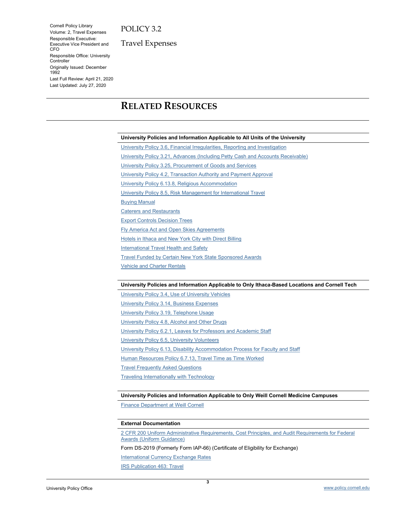Cornell Policy Library Volume: 2, Travel Expenses Responsible Executive: Executive Vice President and CFO Responsible Office: University **Controller** Originally Issued: December 1992 Last Full Review: April 21, 2020 Last Updated: July 27, 2020

Travel Expenses

# <span id="page-2-0"></span>**RELATED RESOURCES**

#### **University Policies and Information Applicable to All Units of the University**

[University Policy 3.6, Financial Irregularities, Reporting and Investigation](https://www.dfa.cornell.edu/policy/policies/financial-irregularities) [University Policy 3.21, Advances \(Including Petty Cash and Accounts Receivable\)](https://www.dfa.cornell.edu/policy/policies/advances-including-petty-cash-and-accounts-receivable) University Policy 3.25, [Procurement of Goods and Services](https://www.dfa.cornell.edu/policy/policies/procurement-goods-and-services) [University Policy 4.2, Transaction Authority and Payment Approval](https://www.dfa.cornell.edu/policy/policies/transaction-authority-and-payment-approval) [University Policy 6.13.8, Religious Accommodation](https://www.dfa.cornell.edu/policy/policies/religious-accommodation) [University Policy 8.5, Risk Management for International Travel](https://www.dfa.cornell.edu/policy/policies/risk-management-international-travel) [Buying Manual](https://www.dfa.cornell.edu/procurement/buyers/manual) [Caterers and Restaurants](https://www.dfa.cornell.edu/procurement/buyers/commodities/hiring-caterers/caterers) [Export Controls Decision Trees](https://researchservices.cornell.edu/resources/export-controls-decision-trees) [Fly America Act and Open Skies Agreements](https://www.dfa.cornell.edu/travel/international/flyamerica) [Hotels in Ithaca and New York City with Direct Billing](https://www.dfa.cornell.edu/travel/lodging/directbill) **[International Travel Health and Safety](https://global.cornell.edu/travel)** Travel [Funded by Certain New York State Sponsored Awards](https://www.dfa.cornell.edu/sfs/managingawards/policies/sponsored-travel) [Vehicle and Charter Rentals](https://www.dfa.cornell.edu/procurement/buyers/commodities/vehicle-rental)

#### **University Policies and Information Applicable to Only Ithaca-Based Locations and Cornell Tech**

[University Policy 3.4, Use of University Vehicles](https://www.dfa.cornell.edu/policy/policies/use-cornell-vehicles) [University Policy 3.14, Business Expenses](https://www.dfa.cornell.edu/policy/policies/business-expenses) [University Policy 3.19, Telephone Usage](https://www.dfa.cornell.edu/policy/policies/telephone-usage) [University Policy 4.8, Alcohol and Other Drugs](https://www.dfa.cornell.edu/policy/policies/alcohol-and-other-drugs-students-staff-faculty-and-visitors) [University Policy 6.2.1, Leaves for Professors and Academic Staff](https://www.dfa.cornell.edu/policy/policies/leaves-professors-and-academic-staff) [University Policy 6.5, University Volunteers](https://www.dfa.cornell.edu/policy/policies/university-volunteers) [University Policy 6.13, Disability Accommodation Process for Faculty and Staff](https://www.dfa.cornell.edu/policy/policies/disability-accommodation-process-faculty-and-staff) [Human Resources Policy 6.7.13, Travel Time as Time Worked](https://hr.cornell.edu/hr-policies/nonacademic-staff) [Travel Frequently Asked Questions](https://www.dfa.cornell.edu/travel/payingfortravel/expenses-faq) Traveling [Internationally with Technology](https://it.cornell.edu/security-and-policy/travel-internationally-technology)

#### **University Policies and Information Applicable to Only Weill Cornell Medicine Campuses**

[Finance Department at Weill Cornell](http://intranet.med.cornell.edu/finance/)

#### **External Documentation**

[2 CFR 200 Uniform Administrative Requirements, Cost Principles, and Audit Requirements for Federal](http://www.ecfr.gov/cgi-bin/text-idx?tpl=/ecfrbrowse/Title02/2cfr200_main_02.tpl)  [Awards \(Uniform Guidance\)](http://www.ecfr.gov/cgi-bin/text-idx?tpl=/ecfrbrowse/Title02/2cfr200_main_02.tpl)

Form DS-2019 (Formerly Form IAP-66) (Certificate of Eligibility for Exchange)

**[International Currency Exchange Rates](http://www.oanda.com/)** 

[IRS Publication 463: Travel](http://www.irs.gov/publications/p463/index.html)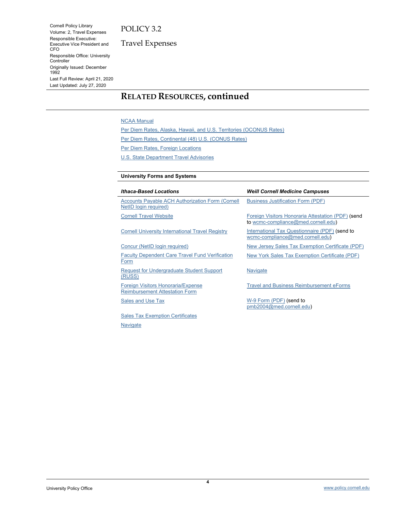Cornell Policy Library Volume: 2, Travel Expenses Responsible Executive: Executive Vice President and CFO Responsible Office: University **Controller** Originally Issued: December 1992 Last Full Review: April 21, 2020 Last Updated: July 27, 2020

Travel Expenses

## **RELATED RESOURCES, continued**

#### [NCAA Manual](http://www.ncaapublications.com/s-13-Manuals.aspx)

[Per Diem Rates, Alaska, Hawaii, and U.S. Territories](http://www.defensetravel.dod.mil/site/perdiemCalc.cfm) (OCONUS Rates)

[Per Diem Rates, Continental](http://www.gsa.gov/portal/category/100120) (48) U.S. (CONUS Rates)

[Per Diem Rates, Foreign Locations](https://aoprals.state.gov/web920/per_diem.asp)

[U.S. State Department Travel Advisories](https://travel.state.gov/content/passports/en/alertswarnings.html)

#### **University Forms and Systems**

| <b>Ithaca-Based Locations</b>                                                     | <b>Weill Cornell Medicine Campuses</b>                                                    |
|-----------------------------------------------------------------------------------|-------------------------------------------------------------------------------------------|
| <b>Accounts Payable ACH Authorization Form (Cornell)</b><br>NetID login required) | <b>Business Justification Form (PDF)</b>                                                  |
| <b>Cornell Travel Website</b>                                                     | Foreign Visitors Honoraria Attestation (PDF) (send<br>to wcmc-compliance@med.cornell.edu) |
| <b>Cornell University International Travel Registry</b>                           | International Tax Questionnaire (PDF) (send to<br>wcmc-compliance@med.cornell.edu)        |
| Concur (NetID login required)                                                     | New Jersey Sales Tax Exemption Certificate (PDF)                                          |
| <b>Faculty Dependent Care Travel Fund Verification</b><br>Form                    | New York Sales Tax Exemption Certificate (PDF)                                            |
| <b>Request for Undergraduate Student Support</b><br>(RUSS)                        | Navigate                                                                                  |
| Foreign Visitors Honoraria/Expense<br><b>Reimbursement Attestation Form</b>       | <b>Travel and Business Reimbursement eForms</b>                                           |
| Sales and Use Tax                                                                 | W-9 Form (PDF) (send to<br>pmb2004@med.cornell.edu)                                       |
| <b>Sales Tax Exemption Certificates</b>                                           |                                                                                           |

**[Navigate](https://global.cornell.edu/faculty-staff/navigate)**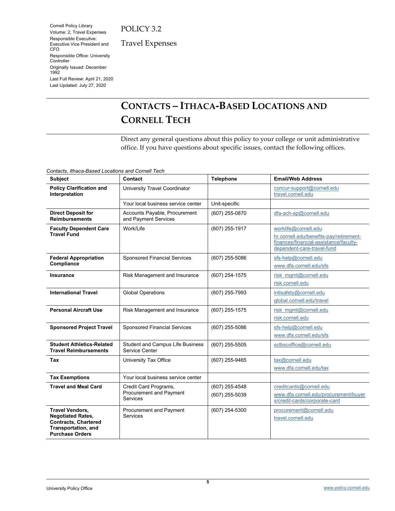Cornell Policy Library Volume: 2, Travel Expenses Responsible Executive: Executive Vice President and CFO Responsible Office: University **Controller** Originally Issued: December 1992 Last Full Review: April 21, 2020 Last Updated: July 27, 2020

Travel Expenses

# <span id="page-4-0"></span>**CONTACTS – ITHACA-BASED LOCATIONS AND CORNELL TECH**

Direct any general questions about this policy to your college or unit administrative office. If you have questions about specific issues, contact the following offices.

*Contacts, Ithaca-Based Locations and Cornell Tech*

| <b>Subject</b>                                                                                                                     | Contact                                                             | <b>Telephone</b>                 | <b>Email/Web Address</b>                                                                                                                |
|------------------------------------------------------------------------------------------------------------------------------------|---------------------------------------------------------------------|----------------------------------|-----------------------------------------------------------------------------------------------------------------------------------------|
| <b>Policy Clarification and</b><br>Interpretation                                                                                  | University Travel Coordinator                                       |                                  | concur-support@cornell.edu<br>travel.cornell.edu                                                                                        |
|                                                                                                                                    | Your local business service center                                  | Unit-specific                    |                                                                                                                                         |
| <b>Direct Deposit for</b><br><b>Reimbursements</b>                                                                                 | Accounts Payable, Procurement<br>and Payment Services               | (607) 255-0870                   | dfa-ach-ap@cornell.edu                                                                                                                  |
| <b>Faculty Dependent Care</b><br><b>Travel Fund</b>                                                                                | Work/Life                                                           | (607) 255-1917                   | worklife@cornell.edu<br>hr.cornell.edu/benefits-pay/retirement-<br>finances/financial-assistance/faculty-<br>dependent-care-travel-fund |
| <b>Federal Appropriation</b><br>Compliance                                                                                         | <b>Sponsored Financial Services</b>                                 | (607) 255-5086                   | sfs-help@cornell.edu<br>www.dfa.cornell.edu/sfs                                                                                         |
| Insurance                                                                                                                          | Risk Management and Insurance                                       | (607) 254-1575                   | risk mgmt@cornell.edu<br>risk.cornell.edu                                                                                               |
| <b>International Travel</b>                                                                                                        | <b>Global Operations</b>                                            | (607) 255-7993                   | intlsafety@cornell.edu<br>qlobal.cornell.edu/travel                                                                                     |
| <b>Personal Aircraft Use</b>                                                                                                       | Risk Management and Insurance                                       | (607) 255-1575                   | risk mgmt@cornell.edu<br>risk.cornell.edu                                                                                               |
| <b>Sponsored Project Travel</b>                                                                                                    | <b>Sponsored Financial Services</b>                                 | (607) 255-5086                   | sfs-help@cornell.edu<br>www.dfa.cornell.edu/sfs                                                                                         |
| <b>Student Athletics-Related</b><br><b>Travel Reimbursements</b>                                                                   | <b>Student and Campus Life Business</b><br>Service Center           | (607) 255-5505                   | sclbscoffice@cornell.edu                                                                                                                |
| Tax                                                                                                                                | University Tax Office                                               | (607) 255-9465                   | tax@cornell.edu<br>www.dfa.cornell.edu/tax                                                                                              |
| <b>Tax Exemptions</b>                                                                                                              | Your local business service center                                  |                                  |                                                                                                                                         |
| <b>Travel and Meal Card</b>                                                                                                        | Credit Card Programs,<br>Procurement and Payment<br><b>Services</b> | (607) 255-4548<br>(607) 255-5039 | creditcards@cornell.edu<br>www.dfa.cornell.edu/procurement/buyer<br>s/credit-cards/corporate-card                                       |
| <b>Travel Vendors,</b><br><b>Negotiated Rates,</b><br><b>Contracts, Chartered</b><br>Transportation, and<br><b>Purchase Orders</b> | Procurement and Payment<br><b>Services</b>                          | (607) 254-5300                   | procurement@cornell.edu<br>travel.cornell.edu                                                                                           |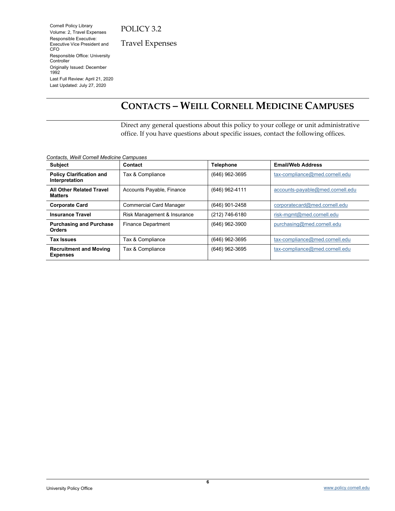Cornell Policy Library Volume: 2, Travel Expenses Responsible Executive: Executive Vice President and CFO Responsible Office: University **Controller** Originally Issued: December 1992 Last Full Review: April 21, 2020 Last Updated: July 27, 2020

Travel Expenses

# <span id="page-5-0"></span>**CONTACTS – WEILL CORNELL MEDICINE CAMPUSES**

Direct any general questions about this policy to your college or unit administrative office. If you have questions about specific issues, contact the following offices.

*Contacts, Weill Cornell Medicine Campuses*

| <b>Subject</b>                                    | Contact                        | <b>Telephone</b> | <b>Email/Web Address</b>         |
|---------------------------------------------------|--------------------------------|------------------|----------------------------------|
| <b>Policy Clarification and</b><br>Interpretation | Tax & Compliance               | (646) 962-3695   | tax-compliance@med.cornell.edu   |
| <b>All Other Related Travel</b><br><b>Matters</b> | Accounts Payable, Finance      | (646) 962-4111   | accounts-payable@med.cornell.edu |
| <b>Corporate Card</b>                             | <b>Commercial Card Manager</b> | (646) 901-2458   | corporatecard@med.cornell.edu    |
| <b>Insurance Travel</b>                           | Risk Management & Insurance    | (212) 746-6180   | risk-mgmt@med.cornell.edu        |
| <b>Purchasing and Purchase</b><br><b>Orders</b>   | <b>Finance Department</b>      | (646) 962-3900   | purchasing@med.cornell.edu       |
| <b>Tax Issues</b>                                 | Tax & Compliance               | (646) 962-3695   | tax-compliance@med.cornell.edu   |
| <b>Recruitment and Moving</b><br><b>Expenses</b>  | Tax & Compliance               | (646) 962-3695   | tax-compliance@med.cornell.edu   |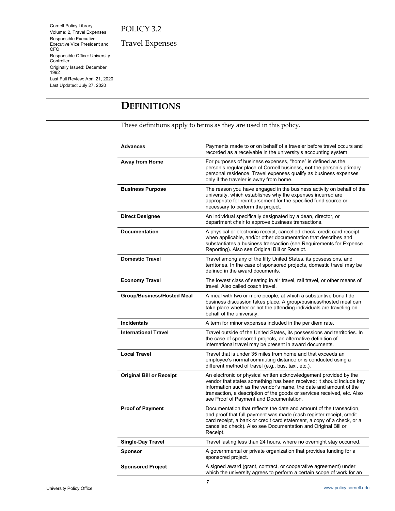Cornell Policy Library Volume: 2, Travel Expenses Responsible Executive: Executive Vice President and CFO Responsible Office: University Controller Originally Issued: December 1992 Last Full Review: April 21, 2020 Last Updated: July 27, 2020

Travel Expenses

# <span id="page-6-0"></span>**DEFINITIONS**

These definitions apply to terms as they are used in this policy.

| <b>Advances</b>                   | Payments made to or on behalf of a traveler before travel occurs and<br>recorded as a receivable in the university's accounting system.                                                                                                                                                                                               |  |  |
|-----------------------------------|---------------------------------------------------------------------------------------------------------------------------------------------------------------------------------------------------------------------------------------------------------------------------------------------------------------------------------------|--|--|
| Away from Home                    | For purposes of business expenses, "home" is defined as the<br>person's regular place of Cornell business, not the person's primary<br>personal residence. Travel expenses qualify as business expenses<br>only if the traveler is away from home.                                                                                    |  |  |
| <b>Business Purpose</b>           | The reason you have engaged in the business activity on behalf of the<br>university, which establishes why the expenses incurred are<br>appropriate for reimbursement for the specified fund source or<br>necessary to perform the project.                                                                                           |  |  |
| <b>Direct Designee</b>            | An individual specifically designated by a dean, director, or<br>department chair to approve business transactions.                                                                                                                                                                                                                   |  |  |
| <b>Documentation</b>              | A physical or electronic receipt, cancelled check, credit card receipt<br>when applicable, and/or other documentation that describes and<br>substantiates a business transaction (see Requirements for Expense<br>Reporting). Also see Original Bill or Receipt.                                                                      |  |  |
| <b>Domestic Travel</b>            | Travel among any of the fifty United States, its possessions, and<br>territories. In the case of sponsored projects, domestic travel may be<br>defined in the award documents.                                                                                                                                                        |  |  |
| <b>Economy Travel</b>             | The lowest class of seating in air travel, rail travel, or other means of<br>travel. Also called coach travel.                                                                                                                                                                                                                        |  |  |
| <b>Group/Business/Hosted Meal</b> | A meal with two or more people, at which a substantive bona fide<br>business discussion takes place. A group/business/hosted meal can<br>take place whether or not the attending individuals are traveling on<br>behalf of the university.                                                                                            |  |  |
| <b>Incidentals</b>                | A term for minor expenses included in the per diem rate.                                                                                                                                                                                                                                                                              |  |  |
| <b>International Travel</b>       | Travel outside of the United States, its possessions and territories. In<br>the case of sponsored projects, an alternative definition of<br>international travel may be present in award documents.                                                                                                                                   |  |  |
| <b>Local Travel</b>               | Travel that is under 35 miles from home and that exceeds an<br>employee's normal commuting distance or is conducted using a<br>different method of travel (e.g., bus, taxi, etc.).                                                                                                                                                    |  |  |
| <b>Original Bill or Receipt</b>   | An electronic or physical written acknowledgement provided by the<br>vendor that states something has been received; it should include key<br>information such as the vendor's name, the date and amount of the<br>transaction, a description of the goods or services received, etc. Also<br>see Proof of Payment and Documentation. |  |  |
| <b>Proof of Payment</b>           | Documentation that reflects the date and amount of the transaction,<br>and proof that full payment was made (cash register receipt, credit<br>card receipt, a bank or credit card statement, a copy of a check, or a<br>cancelled check). Also see Documentation and Original Bill or<br>Receipt.                                     |  |  |
| <b>Single-Day Travel</b>          | Travel lasting less than 24 hours, where no overnight stay occurred.                                                                                                                                                                                                                                                                  |  |  |
| Sponsor                           | A governmental or private organization that provides funding for a<br>sponsored project.                                                                                                                                                                                                                                              |  |  |
| <b>Sponsored Project</b>          | A signed award (grant, contract, or cooperative agreement) under<br>which the university agrees to perform a certain scope of work for an                                                                                                                                                                                             |  |  |
|                                   |                                                                                                                                                                                                                                                                                                                                       |  |  |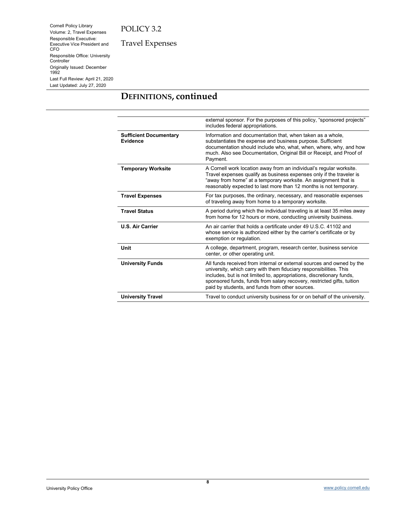Cornell Policy Library Volume: 2, Travel Expenses Responsible Executive: Executive Vice President and CFO Responsible Office: University Controller Originally Issued: December 1992 Last Full Review: April 21, 2020 Last Updated: July 27, 2020

Travel Expenses

# **DEFINITIONS, continued**

|                                                  | external sponsor. For the purposes of this policy, "sponsored projects"<br>includes federal appropriations.                                                                                                                                                                                                                                       |  |  |
|--------------------------------------------------|---------------------------------------------------------------------------------------------------------------------------------------------------------------------------------------------------------------------------------------------------------------------------------------------------------------------------------------------------|--|--|
| <b>Sufficient Documentary</b><br><b>Evidence</b> | Information and documentation that, when taken as a whole,<br>substantiates the expense and business purpose. Sufficient<br>documentation should include who, what, when, where, why, and how<br>much. Also see Documentation, Original Bill or Receipt, and Proof of<br>Payment.                                                                 |  |  |
| <b>Temporary Worksite</b>                        | A Cornell work location away from an individual's regular worksite.<br>Travel expenses qualify as business expenses only if the traveler is<br>"away from home" at a temporary worksite. An assignment that is<br>reasonably expected to last more than 12 months is not temporary.                                                               |  |  |
| <b>Travel Expenses</b>                           | For tax purposes, the ordinary, necessary, and reasonable expenses<br>of traveling away from home to a temporary worksite.                                                                                                                                                                                                                        |  |  |
| <b>Travel Status</b>                             | A period during which the individual traveling is at least 35 miles away<br>from home for 12 hours or more, conducting university business.                                                                                                                                                                                                       |  |  |
| <b>U.S. Air Carrier</b>                          | An air carrier that holds a certificate under 49 U.S.C. 41102 and<br>whose service is authorized either by the carrier's certificate or by<br>exemption or regulation.                                                                                                                                                                            |  |  |
| Unit                                             | A college, department, program, research center, business service<br>center, or other operating unit.                                                                                                                                                                                                                                             |  |  |
| <b>University Funds</b>                          | All funds received from internal or external sources and owned by the<br>university, which carry with them fiduciary responsibilities. This<br>includes, but is not limited to, appropriations, discretionary funds,<br>sponsored funds, funds from salary recovery, restricted gifts, tuition<br>paid by students, and funds from other sources. |  |  |
| <b>University Travel</b>                         | Travel to conduct university business for or on behalf of the university.                                                                                                                                                                                                                                                                         |  |  |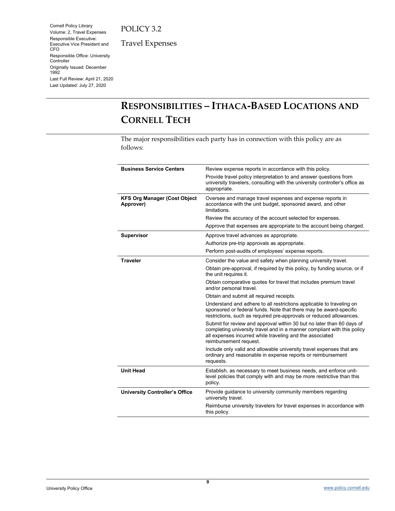Cornell Policy Library Volume: 2, Travel Expenses Responsible Executive: Executive Vice President and CFO Responsible Office: University Controller Originally Issued: December 1992 Last Full Review: April 21, 2020 Last Updated: July 27, 2020

Travel Expenses

# <span id="page-8-0"></span>**RESPONSIBILITIES – ITHACA-BASED LOCATIONS AND CORNELL TECH**

The major responsibilities each party has in connection with this policy are as follows:

| <b>Business Service Centers</b>                  | Review expense reports in accordance with this policy.                                                                                                                                                                                 |  |  |
|--------------------------------------------------|----------------------------------------------------------------------------------------------------------------------------------------------------------------------------------------------------------------------------------------|--|--|
|                                                  | Provide travel policy interpretation to and answer questions from<br>university travelers, consulting with the university controller's office as<br>appropriate.                                                                       |  |  |
| <b>KFS Org Manager (Cost Object</b><br>Approver) | Oversee and manage travel expenses and expense reports in<br>accordance with the unit budget, sponsored award, and other<br>limitations.                                                                                               |  |  |
|                                                  | Review the accuracy of the account selected for expenses.                                                                                                                                                                              |  |  |
|                                                  | Approve that expenses are appropriate to the account being charged.                                                                                                                                                                    |  |  |
| <b>Supervisor</b>                                | Approve travel advances as appropriate.                                                                                                                                                                                                |  |  |
|                                                  | Authorize pre-trip approvals as appropriate.                                                                                                                                                                                           |  |  |
|                                                  | Perform post-audits of employees' expense reports.                                                                                                                                                                                     |  |  |
| <b>Traveler</b>                                  | Consider the value and safety when planning university travel.                                                                                                                                                                         |  |  |
|                                                  | Obtain pre-approval, if required by this policy, by funding source, or if<br>the unit requires it.                                                                                                                                     |  |  |
|                                                  | Obtain comparative quotes for travel that includes premium travel<br>and/or personal travel.                                                                                                                                           |  |  |
|                                                  | Obtain and submit all required receipts.                                                                                                                                                                                               |  |  |
|                                                  | Understand and adhere to all restrictions applicable to traveling on<br>sponsored or federal funds. Note that there may be award-specific<br>restrictions, such as required pre-approvals or reduced allowances.                       |  |  |
|                                                  | Submit for review and approval within 30 but no later than 60 days of<br>completing university travel and in a manner compliant with this policy<br>all expenses incurred while traveling and the associated<br>reimbursement request. |  |  |
|                                                  | Include only valid and allowable university travel expenses that are<br>ordinary and reasonable in expense reports or reimbursement<br>requests.                                                                                       |  |  |
| <b>Unit Head</b>                                 | Establish, as necessary to meet business needs, and enforce unit-<br>level policies that comply with and may be more restrictive than this<br>policy.                                                                                  |  |  |
| <b>University Controller's Office</b>            | Provide guidance to university community members regarding<br>university travel.                                                                                                                                                       |  |  |
|                                                  | Reimburse university travelers for travel expenses in accordance with<br>this policy.                                                                                                                                                  |  |  |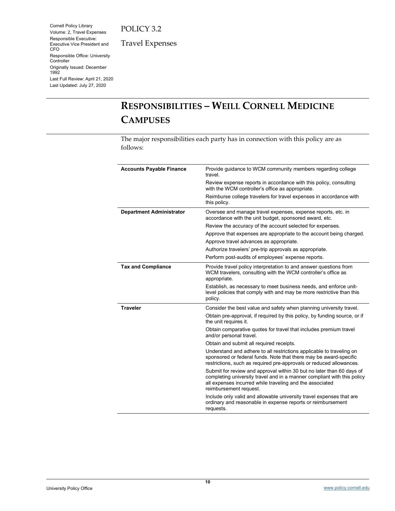Cornell Policy Library Volume: 2, Travel Expenses Responsible Executive: Executive Vice President and CFO Responsible Office: University Controller Originally Issued: December 1992 Last Full Review: April 21, 2020 Last Updated: July 27, 2020

Travel Expenses

# <span id="page-9-0"></span>**RESPONSIBILITIES – WEILL CORNELL MEDICINE CAMPUSES**

The major responsibilities each party has in connection with this policy are as follows:

| <b>Accounts Payable Finance</b> | Provide guidance to WCM community members regarding college<br>travel.                                                                                                                                                                 |  |  |
|---------------------------------|----------------------------------------------------------------------------------------------------------------------------------------------------------------------------------------------------------------------------------------|--|--|
|                                 | Review expense reports in accordance with this policy, consulting<br>with the WCM controller's office as appropriate.                                                                                                                  |  |  |
|                                 | Reimburse college travelers for travel expenses in accordance with<br>this policy.                                                                                                                                                     |  |  |
| <b>Department Administrator</b> | Oversee and manage travel expenses, expense reports, etc. in<br>accordance with the unit budget, sponsored award, etc.                                                                                                                 |  |  |
|                                 | Review the accuracy of the account selected for expenses.                                                                                                                                                                              |  |  |
|                                 | Approve that expenses are appropriate to the account being charged.                                                                                                                                                                    |  |  |
|                                 | Approve travel advances as appropriate.                                                                                                                                                                                                |  |  |
|                                 | Authorize travelers' pre-trip approvals as appropriate.                                                                                                                                                                                |  |  |
|                                 | Perform post-audits of employees' expense reports.                                                                                                                                                                                     |  |  |
| <b>Tax and Compliance</b>       | Provide travel policy interpretation to and answer questions from<br>WCM travelers, consulting with the WCM controller's office as<br>appropriate.                                                                                     |  |  |
|                                 | Establish, as necessary to meet business needs, and enforce unit-<br>level policies that comply with and may be more restrictive than this<br>policy.                                                                                  |  |  |
| <b>Traveler</b>                 | Consider the best value and safety when planning university travel.                                                                                                                                                                    |  |  |
|                                 | Obtain pre-approval, if required by this policy, by funding source, or if<br>the unit requires it.                                                                                                                                     |  |  |
|                                 | Obtain comparative quotes for travel that includes premium travel<br>and/or personal travel.                                                                                                                                           |  |  |
|                                 | Obtain and submit all required receipts.                                                                                                                                                                                               |  |  |
|                                 | Understand and adhere to all restrictions applicable to traveling on<br>sponsored or federal funds. Note that there may be award-specific<br>restrictions, such as required pre-approvals or reduced allowances.                       |  |  |
|                                 | Submit for review and approval within 30 but no later than 60 days of<br>completing university travel and in a manner compliant with this policy<br>all expenses incurred while traveling and the associated<br>reimbursement request. |  |  |
|                                 | Include only valid and allowable university travel expenses that are<br>ordinary and reasonable in expense reports or reimbursement<br>requests.                                                                                       |  |  |

University Policy Office [www.policy.cornell.edu](http://www.policy.cornell.edu/)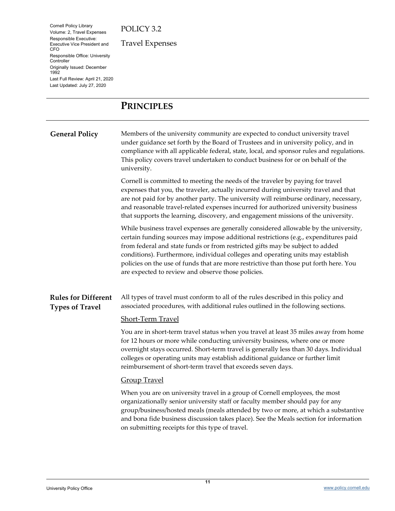Cornell Policy Library Volume: 2, Travel Expenses Responsible Executive: Executive Vice President and CFO Responsible Office: University **Controller** Originally Issued: December 1992 Last Full Review: April 21, 2020 Last Updated: July 27, 2020

Travel Expenses

## <span id="page-10-0"></span>**PRINCIPLES**

<span id="page-10-1"></span>**General Policy** Members of the university community are expected to conduct university travel under guidance set forth by the Board of Trustees and in university policy, and in compliance with all applicable federal, state, local, and sponsor rules and regulations. This policy covers travel undertaken to conduct business for or on behalf of the university.

> Cornell is committed to meeting the needs of the traveler by paying for travel expenses that you, the traveler, actually incurred during university travel and that are not paid for by another party. The university will reimburse ordinary, necessary, and reasonable travel-related expenses incurred for authorized university business that supports the learning, discovery, and engagement missions of the university.

> While business travel expenses are generally considered allowable by the university, certain funding sources may impose additional restrictions (e.g., expenditures paid from federal and state funds or from restricted gifts may be subject to added conditions). Furthermore, individual colleges and operating units may establish policies on the use of funds that are more restrictive than those put forth here. You are expected to review and observe those policies.

#### <span id="page-10-2"></span>**Rules for Different Types of Travel** All types of travel must conform to all of the rules described in this policy and associated procedures, with additional rules outlined in the following sections.

#### Short-Term Travel

You are in short-term travel status when you travel at least 35 miles away from home for 12 hours or more while conducting university business, where one or more overnight stays occurred. Short-term travel is generally less than 30 days. Individual colleges or operating units may establish additional guidance or further limit reimbursement of short-term travel that exceeds seven days.

#### Group Travel

When you are on university travel in a group of Cornell employees, the most organizationally senior university staff or faculty member should pay for any group/business/hosted meals (meals attended by two or more, at which a substantive and bona fide business discussion takes place). See the Meals section for information on submitting receipts for this type of travel.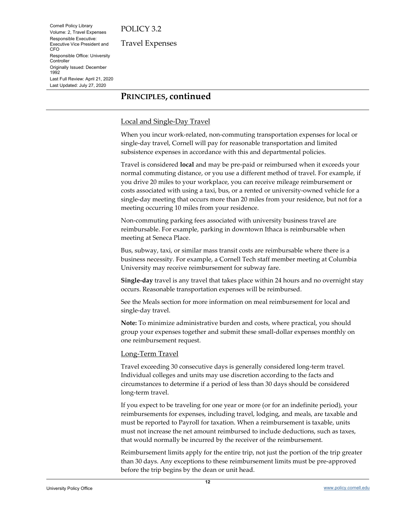Cornell Policy Library Volume: 2, Travel Expenses Responsible Executive: Executive Vice President and CFO Responsible Office: University **Controller** Originally Issued: December 1992 Last Full Review: April 21, 2020 Last Updated: July 27, 2020

Travel Expenses

## **PRINCIPLES, continued**

#### Local and Single-Day Travel

When you incur work-related, non-commuting transportation expenses for local or single-day travel, Cornell will pay for reasonable transportation and limited subsistence expenses in accordance with this and departmental policies.

Travel is considered **local** and may be pre-paid or reimbursed when it exceeds your normal commuting distance, or you use a different method of travel. For example, if you drive 20 miles to your workplace, you can receive mileage reimbursement or costs associated with using a taxi, bus, or a rented or university-owned vehicle for a single-day meeting that occurs more than 20 miles from your residence, but not for a meeting occurring 10 miles from your residence.

Non-commuting parking fees associated with university business travel are reimbursable. For example, parking in downtown Ithaca is reimbursable when meeting at Seneca Place.

Bus, subway, taxi, or similar mass transit costs are reimbursable where there is a business necessity. For example, a Cornell Tech staff member meeting at Columbia University may receive reimbursement for subway fare.

**Single-day** travel is any travel that takes place within 24 hours and no overnight stay occurs. Reasonable transportation expenses will be reimbursed.

See the Meals section for more information on meal reimbursement for local and single-day travel.

**Note:** To minimize administrative burden and costs, where practical, you should group your expenses together and submit these small-dollar expenses monthly on one reimbursement request.

#### Long-Term Travel

Travel exceeding 30 consecutive days is generally considered long-term travel. Individual colleges and units may use discretion according to the facts and circumstances to determine if a period of less than 30 days should be considered long-term travel.

If you expect to be traveling for one year or more (or for an indefinite period), your reimbursements for expenses, including travel, lodging, and meals, are taxable and must be reported to Payroll for taxation. When a reimbursement is taxable, units must not increase the net amount reimbursed to include deductions, such as taxes, that would normally be incurred by the receiver of the reimbursement.

Reimbursement limits apply for the entire trip, not just the portion of the trip greater than 30 days. Any exceptions to these reimbursement limits must be pre-approved before the trip begins by the dean or unit head.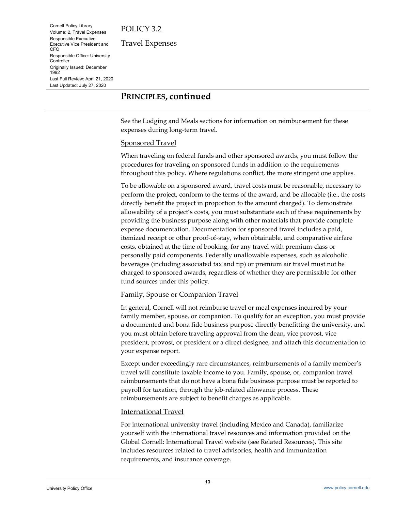Cornell Policy Library Volume: 2, Travel Expenses Responsible Executive: Executive Vice President and CFO Responsible Office: University **Controller** Originally Issued: December 1992 Last Full Review: April 21, 2020 Last Updated: July 27, 2020

Travel Expenses

## **PRINCIPLES, continued**

See the Lodging and Meals sections for information on reimbursement for these expenses during long-term travel.

#### Sponsored Travel

When traveling on federal funds and other sponsored awards, you must follow the procedures for traveling on sponsored funds in addition to the requirements throughout this policy. Where regulations conflict, the more stringent one applies.

To be allowable on a sponsored award, travel costs must be reasonable, necessary to perform the project, conform to the terms of the award, and be allocable (i.e., the costs directly benefit the project in proportion to the amount charged). To demonstrate allowability of a project's costs, you must substantiate each of these requirements by providing the business purpose along with other materials that provide complete expense documentation. Documentation for sponsored travel includes a paid, itemized receipt or other proof-of-stay, when obtainable, and comparative airfare costs, obtained at the time of booking, for any travel with premium-class or personally paid components. Federally unallowable expenses, such as alcoholic beverages (including associated tax and tip) or premium air travel must not be charged to sponsored awards, regardless of whether they are permissible for other fund sources under this policy.

#### Family, Spouse or Companion Travel

In general, Cornell will not reimburse travel or meal expenses incurred by your family member, spouse, or companion. To qualify for an exception, you must provide a documented and bona fide business purpose directly benefitting the university, and you must obtain before traveling approval from the dean, vice provost, vice president, provost, or president or a direct designee, and attach this documentation to your expense report.

Except under exceedingly rare circumstances, reimbursements of a family member's travel will constitute taxable income to you. Family, spouse, or, companion travel reimbursements that do not have a bona fide business purpose must be reported to payroll for taxation, through the job-related allowance process. These reimbursements are subject to benefit charges as applicable.

#### International Travel

For international university travel (including Mexico and Canada), familiarize yourself with the international travel resources and information provided on the Global Cornell: International Travel website (see Related Resources). This site includes resources related to travel advisories, health and immunization requirements, and insurance coverage.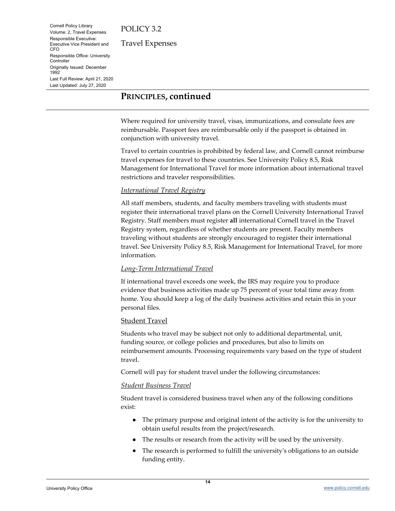Cornell Policy Library Volume: 2, Travel Expenses Responsible Executive: Executive Vice President and CFO Responsible Office: University **Controller** Originally Issued: December 1992 Last Full Review: April 21, 2020 Last Updated: July 27, 2020

Travel Expenses

## **PRINCIPLES, continued**

Where required for university travel, visas, immunizations, and consulate fees are reimbursable. Passport fees are reimbursable only if the passport is obtained in conjunction with university travel.

Travel to certain countries is prohibited by federal law, and Cornell cannot reimburse travel expenses for travel to these countries. See University Policy 8.5, Risk Management for International Travel for more information about international travel restrictions and traveler responsibilities.

#### *International Travel Registry*

All staff members, students, and faculty members traveling with students must register their international travel plans on the Cornell University International Travel Registry. Staff members must register **all** international Cornell travel in the Travel Registry system, regardless of whether students are present. Faculty members traveling without students are strongly encouraged to register their international travel. See University Policy 8.5, Risk Management for International Travel, for more information.

#### *Long-Term International Travel*

If international travel exceeds one week, the IRS may require you to produce evidence that business activities made up 75 percent of your total time away from home. You should keep a log of the daily business activities and retain this in your personal files.

#### Student Travel

Students who travel may be subject not only to additional departmental, unit, funding source, or college policies and procedures, but also to limits on reimbursement amounts. Processing requirements vary based on the type of student travel.

Cornell will pay for student travel under the following circumstances:

#### *Student Business Travel*

Student travel is considered business travel when any of the following conditions exist:

- The primary purpose and original intent of the activity is for the university to obtain useful results from the project/research.
- The results or research from the activity will be used by the university.
- The research is performed to fulfill the university's obligations to an outside funding entity.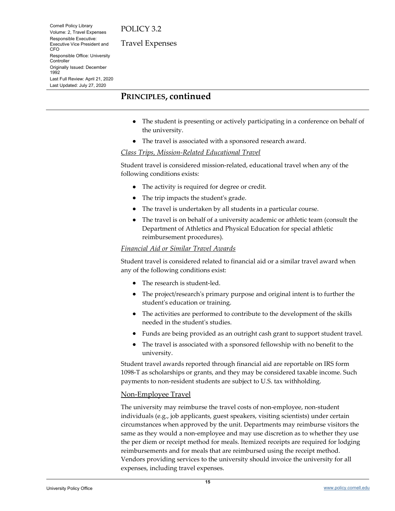Cornell Policy Library Volume: 2, Travel Expenses Responsible Executive: Executive Vice President and CFO Responsible Office: University **Controller** Originally Issued: December 1992 Last Full Review: April 21, 2020 Last Updated: July 27, 2020

Travel Expenses

## **PRINCIPLES, continued**

- The student is presenting or actively participating in a conference on behalf of the university.
- The travel is associated with a sponsored research award.

#### *Class Trips, Mission-Related Educational Travel*

Student travel is considered mission-related, educational travel when any of the following conditions exists:

- The activity is required for degree or credit.
- The trip impacts the student's grade.
- The travel is undertaken by all students in a particular course.
- The travel is on behalf of a university academic or athletic team (consult the Department of Athletics and Physical Education for special athletic reimbursement procedures).

#### *Financial Aid or Similar Travel Awards*

Student travel is considered related to financial aid or a similar travel award when any of the following conditions exist:

- The research is student-led.
- The project/research's primary purpose and original intent is to further the student's education or training.
- The activities are performed to contribute to the development of the skills needed in the student's studies.
- Funds are being provided as an outright cash grant to support student travel.
- The travel is associated with a sponsored fellowship with no benefit to the university.

Student travel awards reported through financial aid are reportable on IRS form 1098-T as scholarships or grants, and they may be considered taxable income. Such payments to non-resident students are subject to U.S. tax withholding.

#### Non-Employee Travel

The university may reimburse the travel costs of non-employee, non-student individuals (e.g., job applicants, guest speakers, visiting scientists) under certain circumstances when approved by the unit. Departments may reimburse visitors the same as they would a non-employee and may use discretion as to whether they use the per diem or receipt method for meals. Itemized receipts are required for lodging reimbursements and for meals that are reimbursed using the receipt method. Vendors providing services to the university should invoice the university for all expenses, including travel expenses.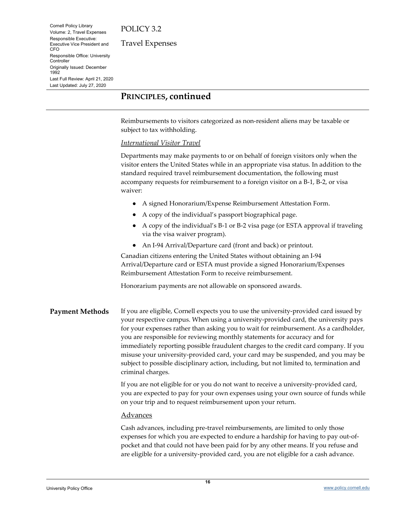Cornell Policy Library Volume: 2, Travel Expenses Responsible Executive: Executive Vice President and CFO Responsible Office: University **Controller** Originally Issued: December 1992 Last Full Review: April 21, 2020 Last Updated: July 27, 2020

Travel Expenses

## **PRINCIPLES, continued**

Reimbursements to visitors categorized as non-resident aliens may be taxable or subject to tax withholding.

#### *International Visitor Travel*

Departments may make payments to or on behalf of foreign visitors only when the visitor enters the United States while in an appropriate visa status. In addition to the standard required travel reimbursement documentation, the following must accompany requests for reimbursement to a foreign visitor on a B-1, B-2, or visa waiver:

- A signed Honorarium/Expense Reimbursement Attestation Form.
- A copy of the individual's passport biographical page.
- A copy of the individual's B-1 or B-2 visa page (or ESTA approval if traveling via the visa waiver program).
- An I-94 Arrival/Departure card (front and back) or printout.

Canadian citizens entering the United States without obtaining an I-94 Arrival/Departure card or ESTA must provide a signed Honorarium/Expenses Reimbursement Attestation Form to receive reimbursement.

Honorarium payments are not allowable on sponsored awards.

<span id="page-15-0"></span>Payment Methods If you are eligible, Cornell expects you to use the university-provided card issued by your respective campus. When using a university-provided card, the university pays for your expenses rather than asking you to wait for reimbursement. As a cardholder, you are responsible for reviewing monthly statements for accuracy and for immediately reporting possible fraudulent charges to the credit card company. If you misuse your university-provided card, your card may be suspended, and you may be subject to possible disciplinary action, including, but not limited to, termination and criminal charges.

> If you are not eligible for or you do not want to receive a university-provided card, you are expected to pay for your own expenses using your own source of funds while on your trip and to request reimbursement upon your return.

#### Advances

Cash advances, including pre-travel reimbursements, are limited to only those expenses for which you are expected to endure a hardship for having to pay out-ofpocket and that could not have been paid for by any other means. If you refuse and are eligible for a university-provided card, you are not eligible for a cash advance.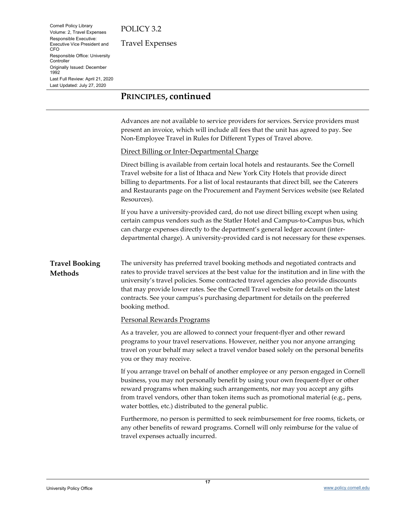Cornell Policy Library Volume: 2, Travel Expenses Responsible Executive: Executive Vice President and CFO Responsible Office: University **Controller** Originally Issued: December 1992 Last Full Review: April 21, 2020 Last Updated: July 27, 2020

Travel Expenses

## **PRINCIPLES, continued**

Advances are not available to service providers for services. Service providers must present an invoice, which will include all fees that the unit has agreed to pay. See Non-Employee Travel in Rules for Different Types of Travel above.

#### Direct Billing or Inter-Departmental Charge

Direct billing is available from certain local hotels and restaurants. See the Cornell Travel website for a list of Ithaca and New York City Hotels that provide direct billing to departments. For a list of local restaurants that direct bill, see the Caterers and Restaurants page on the Procurement and Payment Services website (see Related Resources).

If you have a university-provided card, do not use direct billing except when using certain campus vendors such as the Statler Hotel and Campus-to-Campus bus, which can charge expenses directly to the department's general ledger account (interdepartmental charge). A university-provided card is not necessary for these expenses.

<span id="page-16-0"></span>**Travel Booking Methods** The university has preferred travel booking methods and negotiated contracts and rates to provide travel services at the best value for the institution and in line with the university's travel policies. Some contracted travel agencies also provide discounts that may provide lower rates. See the Cornell Travel website for details on the latest contracts. See your campus's purchasing department for details on the preferred booking method.

#### Personal Rewards Programs

As a traveler, you are allowed to connect your frequent-flyer and other reward programs to your travel reservations. However, neither you nor anyone arranging travel on your behalf may select a travel vendor based solely on the personal benefits you or they may receive.

If you arrange travel on behalf of another employee or any person engaged in Cornell business, you may not personally benefit by using your own frequent-flyer or other reward programs when making such arrangements, nor may you accept any gifts from travel vendors, other than token items such as promotional material (e.g., pens, water bottles, etc.) distributed to the general public.

Furthermore, no person is permitted to seek reimbursement for free rooms, tickets, or any other benefits of reward programs. Cornell will only reimburse for the value of travel expenses actually incurred.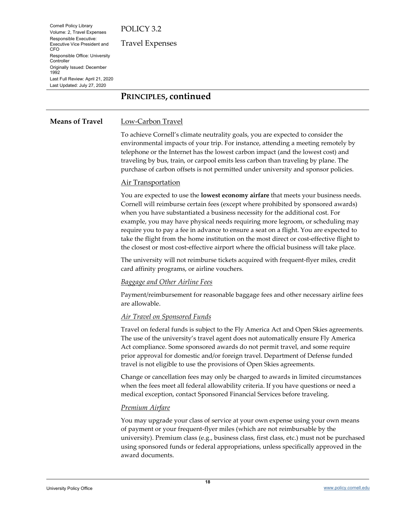Cornell Policy Library Volume: 2, Travel Expenses Responsible Executive: Executive Vice President and CFO Responsible Office: University **Controller** Originally Issued: December 1992 Last Full Review: April 21, 2020 Last Updated: July 27, 2020

Travel Expenses

## **PRINCIPLES, continued**

#### <span id="page-17-0"></span>**Means of Travel** Low-Carbon Travel

To achieve Cornell's climate neutrality goals, you are expected to consider the environmental impacts of your trip. For instance, attending a meeting remotely by telephone or the Internet has the lowest carbon impact (and the lowest cost) and traveling by bus, train, or carpool emits less carbon than traveling by plane. The purchase of carbon offsets is not permitted under university and sponsor policies.

#### Air Transportation

You are expected to use the **lowest economy airfare** that meets your business needs. Cornell will reimburse certain fees (except where prohibited by sponsored awards) when you have substantiated a business necessity for the additional cost. For example, you may have physical needs requiring more legroom, or scheduling may require you to pay a fee in advance to ensure a seat on a flight. You are expected to take the flight from the home institution on the most direct or cost-effective flight to the closest or most cost-effective airport where the official business will take place.

The university will not reimburse tickets acquired with frequent-flyer miles, credit card affinity programs, or airline vouchers.

#### *Baggage and Other Airline Fees*

Payment/reimbursement for reasonable baggage fees and other necessary airline fees are allowable.

#### *Air Travel on Sponsored Funds*

Travel on federal funds is subject to the Fly America Act and Open Skies agreements. The use of the university's travel agent does not automatically ensure Fly America Act compliance. Some sponsored awards do not permit travel, and some require prior approval for domestic and/or foreign travel. Department of Defense funded travel is not eligible to use the provisions of Open Skies agreements.

Change or cancellation fees may only be charged to awards in limited circumstances when the fees meet all federal allowability criteria. If you have questions or need a medical exception, contact Sponsored Financial Services before traveling.

#### *Premium Airfare*

You may upgrade your class of service at your own expense using your own means of payment or your frequent-flyer miles (which are not reimbursable by the university). Premium class (e.g., business class, first class, etc.) must not be purchased using sponsored funds or federal appropriations, unless specifically approved in the award documents.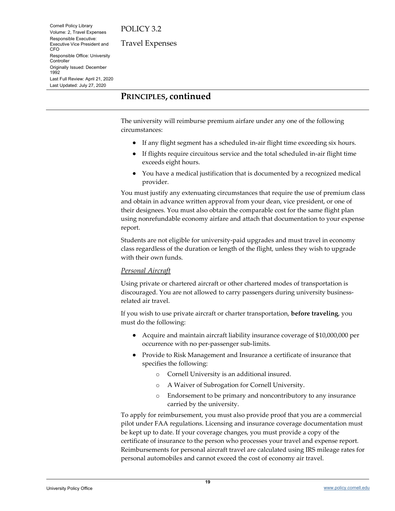Cornell Policy Library Volume: 2, Travel Expenses Responsible Executive: Executive Vice President and CFO Responsible Office: University **Controller** Originally Issued: December 1992 Last Full Review: April 21, 2020 Last Updated: July 27, 2020

Travel Expenses

## **PRINCIPLES, continued**

The university will reimburse premium airfare under any one of the following circumstances:

- If any flight segment has a scheduled in-air flight time exceeding six hours.
- If flights require circuitous service and the total scheduled in-air flight time exceeds eight hours.
- You have a medical justification that is documented by a recognized medical provider.

You must justify any extenuating circumstances that require the use of premium class and obtain in advance written approval from your dean, vice president, or one of their designees. You must also obtain the comparable cost for the same flight plan using nonrefundable economy airfare and attach that documentation to your expense report.

Students are not eligible for university-paid upgrades and must travel in economy class regardless of the duration or length of the flight, unless they wish to upgrade with their own funds.

#### *Personal Aircraft*

Using private or chartered aircraft or other chartered modes of transportation is discouraged. You are not allowed to carry passengers during university businessrelated air travel.

If you wish to use private aircraft or charter transportation, **before traveling**, you must do the following:

- Acquire and maintain aircraft liability insurance coverage of \$10,000,000 per occurrence with no per-passenger sub-limits.
- Provide to Risk Management and Insurance a certificate of insurance that specifies the following:
	- o Cornell University is an additional insured.
	- o A Waiver of Subrogation for Cornell University.
	- o Endorsement to be primary and noncontributory to any insurance carried by the university.

To apply for reimbursement, you must also provide proof that you are a commercial pilot under FAA regulations. Licensing and insurance coverage documentation must be kept up to date. If your coverage changes, you must provide a copy of the certificate of insurance to the person who processes your travel and expense report. Reimbursements for personal aircraft travel are calculated using IRS mileage rates for personal automobiles and cannot exceed the cost of economy air travel.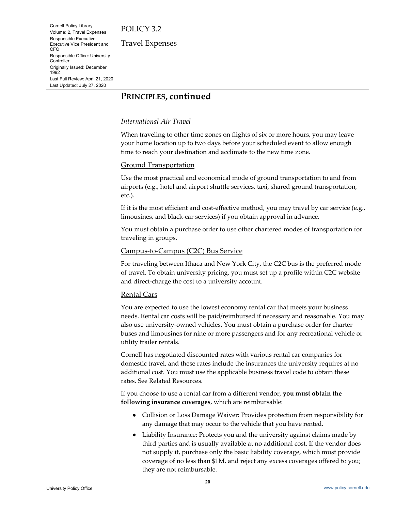Cornell Policy Library Volume: 2, Travel Expenses Responsible Executive: Executive Vice President and CFO Responsible Office: University **Controller** Originally Issued: December 1992 Last Full Review: April 21, 2020 Last Updated: July 27, 2020

Travel Expenses

## **PRINCIPLES, continued**

#### *International Air Travel*

When traveling to other time zones on flights of six or more hours, you may leave your home location up to two days before your scheduled event to allow enough time to reach your destination and acclimate to the new time zone.

#### Ground Transportation

Use the most practical and economical mode of ground transportation to and from airports (e.g., hotel and airport shuttle services, taxi, shared ground transportation, etc.).

If it is the most efficient and cost-effective method, you may travel by car service (e.g., limousines, and black-car services) if you obtain approval in advance.

You must obtain a purchase order to use other chartered modes of transportation for traveling in groups.

#### Campus-to-Campus (C2C) Bus Service

For traveling between Ithaca and New York City, the C2C bus is the preferred mode of travel. To obtain university pricing, you must set up a profile within C2C website and direct-charge the cost to a university account.

#### Rental Cars

You are expected to use the lowest economy rental car that meets your business needs. Rental car costs will be paid/reimbursed if necessary and reasonable. You may also use university-owned vehicles. You must obtain a purchase order for charter buses and limousines for nine or more passengers and for any recreational vehicle or utility trailer rentals.

Cornell has negotiated discounted rates with various rental car companies for domestic travel, and these rates include the insurances the university requires at no additional cost. You must use the applicable business travel code to obtain these rates. See Related Resources.

If you choose to use a rental car from a different vendor, **you must obtain the following insurance coverages**, which are reimbursable:

- Collision or Loss Damage Waiver: Provides protection from responsibility for any damage that may occur to the vehicle that you have rented.
- Liability Insurance: Protects you and the university against claims made by third parties and is usually available at no additional cost. If the vendor does not supply it, purchase only the basic liability coverage, which must provide coverage of no less than \$1M, and reject any excess coverages offered to you; they are not reimbursable.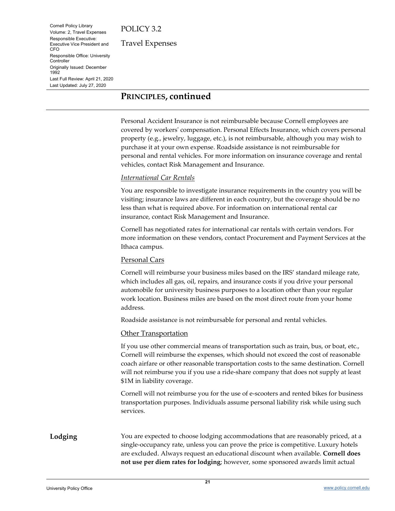Cornell Policy Library Volume: 2, Travel Expenses Responsible Executive: Executive Vice President and CFO Responsible Office: University **Controller** Originally Issued: December 1992 Last Full Review: April 21, 2020 Last Updated: July 27, 2020

Travel Expenses

## **PRINCIPLES, continued**

Personal Accident Insurance is not reimbursable because Cornell employees are covered by workers' compensation. Personal Effects Insurance, which covers personal property (e.g., jewelry, luggage, etc.), is not reimbursable, although you may wish to purchase it at your own expense. Roadside assistance is not reimbursable for personal and rental vehicles. For more information on insurance coverage and rental vehicles, contact Risk Management and Insurance.

#### *International Car Rentals*

You are responsible to investigate insurance requirements in the country you will be visiting; insurance laws are different in each country, but the coverage should be no less than what is required above. For information on international rental car insurance, contact Risk Management and Insurance.

Cornell has negotiated rates for international car rentals with certain vendors. For more information on these vendors, contact Procurement and Payment Services at the Ithaca campus.

#### Personal Cars

Cornell will reimburse your business miles based on the IRS' standard mileage rate, which includes all gas, oil, repairs, and insurance costs if you drive your personal automobile for university business purposes to a location other than your regular work location. Business miles are based on the most direct route from your home address.

Roadside assistance is not reimbursable for personal and rental vehicles.

#### Other Transportation

If you use other commercial means of transportation such as train, bus, or boat, etc., Cornell will reimburse the expenses, which should not exceed the cost of reasonable coach airfare or other reasonable transportation costs to the same destination. Cornell will not reimburse you if you use a ride-share company that does not supply at least \$1M in liability coverage.

Cornell will not reimburse you for the use of e-scooters and rented bikes for business transportation purposes. Individuals assume personal liability risk while using such services.

<span id="page-20-0"></span>**Lodging** You are expected to choose lodging accommodations that are reasonably priced, at a single-occupancy rate, unless you can prove the price is competitive. Luxury hotels are excluded. Always request an educational discount when available. **Cornell does not use per diem rates for lodging**; however, some sponsored awards limit actual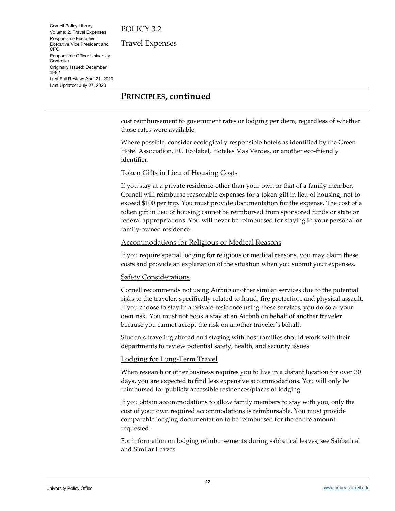Cornell Policy Library Volume: 2, Travel Expenses Responsible Executive: Executive Vice President and CFO Responsible Office: University **Controller** Originally Issued: December 1992 Last Full Review: April 21, 2020 Last Updated: July 27, 2020

Travel Expenses

## **PRINCIPLES, continued**

cost reimbursement to government rates or lodging per diem, regardless of whether those rates were available.

Where possible, consider ecologically responsible hotels as identified by the Green Hotel Association, EU Ecolabel, Hoteles Mas Verdes, or another eco-friendly identifier.

#### Token Gifts in Lieu of Housing Costs

If you stay at a private residence other than your own or that of a family member, Cornell will reimburse reasonable expenses for a token gift in lieu of housing, not to exceed \$100 per trip. You must provide documentation for the expense. The cost of a token gift in lieu of housing cannot be reimbursed from sponsored funds or state or federal appropriations. You will never be reimbursed for staying in your personal or family-owned residence.

#### Accommodations for Religious or Medical Reasons

If you require special lodging for religious or medical reasons, you may claim these costs and provide an explanation of the situation when you submit your expenses.

#### Safety Considerations

Cornell recommends not using Airbnb or other similar services due to the potential risks to the traveler, specifically related to fraud, fire protection, and physical assault. If you choose to stay in a private residence using these services, you do so at your own risk. You must not book a stay at an Airbnb on behalf of another traveler because you cannot accept the risk on another traveler's behalf.

Students traveling abroad and staying with host families should work with their departments to review potential safety, health, and security issues.

#### Lodging for Long-Term Travel

When research or other business requires you to live in a distant location for over 30 days, you are expected to find less expensive accommodations. You will only be reimbursed for publicly accessible residences/places of lodging.

If you obtain accommodations to allow family members to stay with you, only the cost of your own required accommodations is reimbursable. You must provide comparable lodging documentation to be reimbursed for the entire amount requested.

For information on lodging reimbursements during sabbatical leaves, see Sabbatical and Similar Leaves.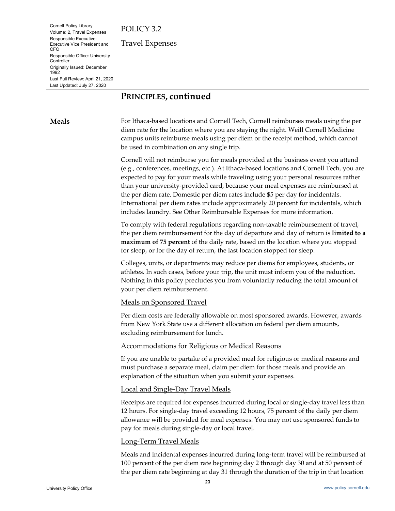Cornell Policy Library Volume: 2, Travel Expenses Responsible Executive: Executive Vice President and CFO Responsible Office: University **Controller** Originally Issued: December 1992 Last Full Review: April 21, 2020 Last Updated: July 27, 2020

Travel Expenses

## **PRINCIPLES, continued**

<span id="page-22-0"></span>**Meals** For Ithaca-based locations and Cornell Tech, Cornell reimburses meals using the per diem rate for the location where you are staying the night. Weill Cornell Medicine campus units reimburse meals using per diem or the receipt method, which cannot be used in combination on any single trip.

> Cornell will not reimburse you for meals provided at the business event you attend (e.g., conferences, meetings, etc.). At Ithaca-based locations and Cornell Tech, you are expected to pay for your meals while traveling using your personal resources rather than your university-provided card, because your meal expenses are reimbursed at the per diem rate. Domestic per diem rates include \$5 per day for incidentals. International per diem rates include approximately 20 percent for incidentals, which includes laundry. See Other Reimbursable Expenses for more information.

> To comply with federal regulations regarding non-taxable reimbursement of travel, the per diem reimbursement for the day of departure and day of return is **limited to a maximum of 75 percent** of the daily rate, based on the location where you stopped for sleep, or for the day of return, the last location stopped for sleep.

Colleges, units, or departments may reduce per diems for employees, students, or athletes. In such cases, before your trip, the unit must inform you of the reduction. Nothing in this policy precludes you from voluntarily reducing the total amount of your per diem reimbursement.

#### Meals on Sponsored Travel

Per diem costs are federally allowable on most sponsored awards. However, awards from New York State use a different allocation on federal per diem amounts, excluding reimbursement for lunch.

#### Accommodations for Religious or Medical Reasons

If you are unable to partake of a provided meal for religious or medical reasons and must purchase a separate meal, claim per diem for those meals and provide an explanation of the situation when you submit your expenses.

#### Local and Single-Day Travel Meals

Receipts are required for expenses incurred during local or single-day travel less than 12 hours. For single-day travel exceeding 12 hours, 75 percent of the daily per diem allowance will be provided for meal expenses. You may not use sponsored funds to pay for meals during single-day or local travel.

#### Long-Term Travel Meals

Meals and incidental expenses incurred during long-term travel will be reimbursed at 100 percent of the per diem rate beginning day 2 through day 30 and at 50 percent of the per diem rate beginning at day 31 through the duration of the trip in that location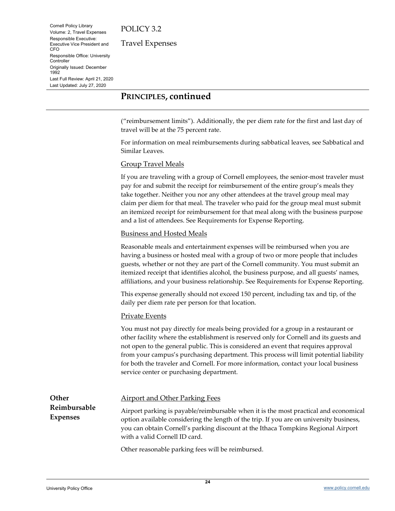Cornell Policy Library Volume: 2, Travel Expenses Responsible Executive: Executive Vice President and CFO Responsible Office: University **Controller** Originally Issued: December 1992 Last Full Review: April 21, 2020 Last Updated: July 27, 2020

Travel Expenses

## **PRINCIPLES, continued**

("reimbursement limits"). Additionally, the per diem rate for the first and last day of travel will be at the 75 percent rate.

For information on meal reimbursements during sabbatical leaves, see Sabbatical and Similar Leaves.

#### Group Travel Meals

If you are traveling with a group of Cornell employees, the senior-most traveler must pay for and submit the receipt for reimbursement of the entire group's meals they take together. Neither you nor any other attendees at the travel group meal may claim per diem for that meal. The traveler who paid for the group meal must submit an itemized receipt for reimbursement for that meal along with the business purpose and a list of attendees. See Requirements for Expense Reporting.

#### Business and Hosted Meals

Reasonable meals and entertainment expenses will be reimbursed when you are having a business or hosted meal with a group of two or more people that includes guests, whether or not they are part of the Cornell community. You must submit an itemized receipt that identifies alcohol, the business purpose, and all guests' names, affiliations, and your business relationship. See Requirements for Expense Reporting.

This expense generally should not exceed 150 percent, including tax and tip, of the daily per diem rate per person for that location.

#### Private Events

You must not pay directly for meals being provided for a group in a restaurant or other facility where the establishment is reserved only for Cornell and its guests and not open to the general public. This is considered an event that requires approval from your campus's purchasing department. This process will limit potential liability for both the traveler and Cornell. For more information, contact your local business service center or purchasing department.

<span id="page-23-0"></span>**Other Reimbursable Expenses**

#### Airport and Other Parking Fees

Airport parking is payable/reimbursable when it is the most practical and economical option available considering the length of the trip. If you are on university business, you can obtain Cornell's parking discount at the Ithaca Tompkins Regional Airport with a valid Cornell ID card.

Other reasonable parking fees will be reimbursed.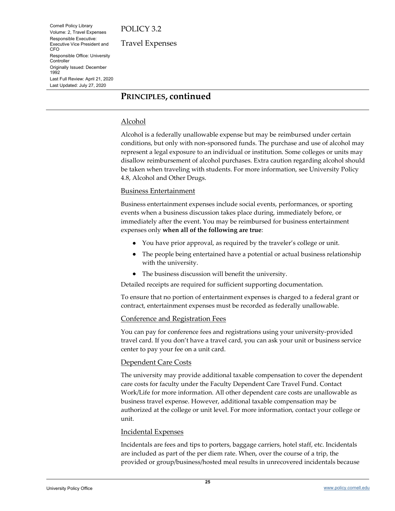Cornell Policy Library Volume: 2, Travel Expenses Responsible Executive: Executive Vice President and CFO Responsible Office: University **Controller** Originally Issued: December 1992 Last Full Review: April 21, 2020 Last Updated: July 27, 2020

Travel Expenses

## **PRINCIPLES, continued**

#### Alcohol

Alcohol is a federally unallowable expense but may be reimbursed under certain conditions, but only with non-sponsored funds. The purchase and use of alcohol may represent a legal exposure to an individual or institution. Some colleges or units may disallow reimbursement of alcohol purchases. Extra caution regarding alcohol should be taken when traveling with students. For more information, see University Policy 4.8, Alcohol and Other Drugs.

#### Business Entertainment

Business entertainment expenses include social events, performances, or sporting events when a business discussion takes place during, immediately before, or immediately after the event. You may be reimbursed for business entertainment expenses only **when all of the following are true**:

- You have prior approval, as required by the traveler's college or unit.
- The people being entertained have a potential or actual business relationship with the university.
- The business discussion will benefit the university.

Detailed receipts are required for sufficient supporting documentation.

To ensure that no portion of entertainment expenses is charged to a federal grant or contract, entertainment expenses must be recorded as federally unallowable.

#### Conference and Registration Fees

You can pay for conference fees and registrations using your university-provided travel card. If you don't have a travel card, you can ask your unit or business service center to pay your fee on a unit card.

#### Dependent Care Costs

The university may provide additional taxable compensation to cover the dependent care costs for faculty under the Faculty Dependent Care Travel Fund. Contact Work/Life for more information. All other dependent care costs are unallowable as business travel expense. However, additional taxable compensation may be authorized at the college or unit level. For more information, contact your college or unit.

#### Incidental Expenses

Incidentals are fees and tips to porters, baggage carriers, hotel staff, etc. Incidentals are included as part of the per diem rate. When, over the course of a trip, the provided or group/business/hosted meal results in unrecovered incidentals because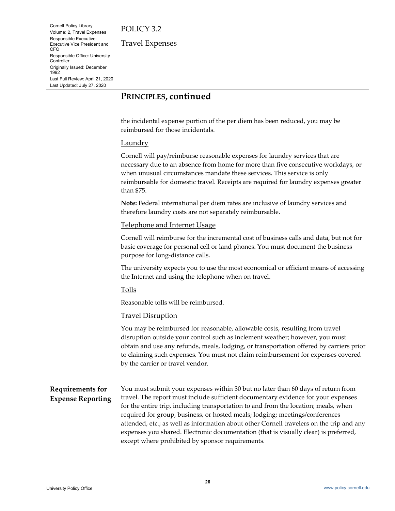Cornell Policy Library Volume: 2, Travel Expenses Responsible Executive: Executive Vice President and CFO Responsible Office: University **Controller** Originally Issued: December 1992 Last Full Review: April 21, 2020 Last Updated: July 27, 2020

Travel Expenses

## **PRINCIPLES, continued**

the incidental expense portion of the per diem has been reduced, you may be reimbursed for those incidentals.

#### Laundry

Cornell will pay/reimburse reasonable expenses for laundry services that are necessary due to an absence from home for more than five consecutive workdays, or when unusual circumstances mandate these services. This service is only reimbursable for domestic travel. Receipts are required for laundry expenses greater than \$75.

**Note:** Federal international per diem rates are inclusive of laundry services and therefore laundry costs are not separately reimbursable.

#### Telephone and Internet Usage

Cornell will reimburse for the incremental cost of business calls and data, but not for basic coverage for personal cell or land phones. You must document the business purpose for long-distance calls.

The university expects you to use the most economical or efficient means of accessing the Internet and using the telephone when on travel.

#### Tolls

Reasonable tolls will be reimbursed.

#### **Travel Disruption**

You may be reimbursed for reasonable, allowable costs, resulting from travel disruption outside your control such as inclement weather; however, you must obtain and use any refunds, meals, lodging, or transportation offered by carriers prior to claiming such expenses. You must not claim reimbursement for expenses covered by the carrier or travel vendor.

#### <span id="page-25-0"></span>**Requirements for Expense Reporting** You must submit your expenses within 30 but no later than 60 days of return from travel. The report must include sufficient documentary evidence for your expenses for the entire trip, including transportation to and from the location; meals, when required for group, business, or hosted meals; lodging; meetings/conferences attended, etc.; as well as information about other Cornell travelers on the trip and any expenses you shared. Electronic documentation (that is visually clear) is preferred, except where prohibited by sponsor requirements.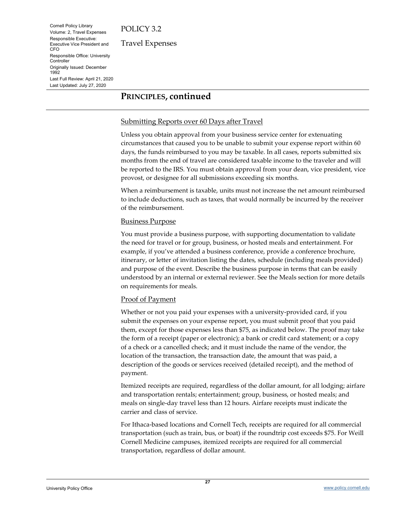Cornell Policy Library Volume: 2, Travel Expenses Responsible Executive: Executive Vice President and CFO Responsible Office: University **Controller** Originally Issued: December 1992 Last Full Review: April 21, 2020 Last Updated: July 27, 2020

Travel Expenses

## **PRINCIPLES, continued**

#### Submitting Reports over 60 Days after Travel

Unless you obtain approval from your business service center for extenuating circumstances that caused you to be unable to submit your expense report within 60 days, the funds reimbursed to you may be taxable. In all cases, reports submitted six months from the end of travel are considered taxable income to the traveler and will be reported to the IRS. You must obtain approval from your dean, vice president, vice provost, or designee for all submissions exceeding six months.

When a reimbursement is taxable, units must not increase the net amount reimbursed to include deductions, such as taxes, that would normally be incurred by the receiver of the reimbursement.

#### Business Purpose

You must provide a business purpose, with supporting documentation to validate the need for travel or for group, business, or hosted meals and entertainment. For example, if you've attended a business conference, provide a conference brochure, itinerary, or letter of invitation listing the dates, schedule (including meals provided) and purpose of the event. Describe the business purpose in terms that can be easily understood by an internal or external reviewer. See the Meals section for more details on requirements for meals.

#### **Proof of Payment**

Whether or not you paid your expenses with a university-provided card, if you submit the expenses on your expense report, you must submit proof that you paid them, except for those expenses less than \$75, as indicated below. The proof may take the form of a receipt (paper or electronic); a bank or credit card statement; or a copy of a check or a cancelled check; and it must include the name of the vendor, the location of the transaction, the transaction date, the amount that was paid, a description of the goods or services received (detailed receipt), and the method of payment.

Itemized receipts are required, regardless of the dollar amount, for all lodging; airfare and transportation rentals; entertainment; group, business, or hosted meals; and meals on single-day travel less than 12 hours. Airfare receipts must indicate the carrier and class of service.

For Ithaca-based locations and Cornell Tech, receipts are required for all commercial transportation (such as train, bus, or boat) if the roundtrip cost exceeds \$75. For Weill Cornell Medicine campuses, itemized receipts are required for all commercial transportation, regardless of dollar amount.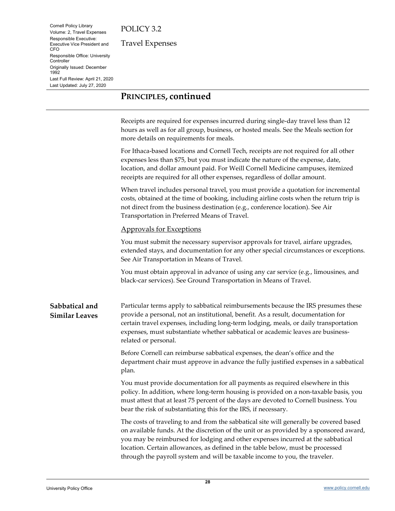Cornell Policy Library Volume: 2, Travel Expenses Responsible Executive: Executive Vice President and CFO Responsible Office: University **Controller** Originally Issued: December 1992 Last Full Review: April 21, 2020 Last Updated: July 27, 2020

Travel Expenses

## **PRINCIPLES, continued**

Receipts are required for expenses incurred during single-day travel less than 12 hours as well as for all group, business, or hosted meals. See the Meals section for more details on requirements for meals.

For Ithaca-based locations and Cornell Tech, receipts are not required for all other expenses less than \$75, but you must indicate the nature of the expense, date, location, and dollar amount paid. For Weill Cornell Medicine campuses, itemized receipts are required for all other expenses, regardless of dollar amount.

When travel includes personal travel, you must provide a quotation for incremental costs, obtained at the time of booking, including airline costs when the return trip is not direct from the business destination (e.g., conference location). See Air Transportation in Preferred Means of Travel.

#### Approvals for Exceptions

You must submit the necessary supervisor approvals for travel, airfare upgrades, extended stays, and documentation for any other special circumstances or exceptions. See Air Transportation in Means of Travel.

You must obtain approval in advance of using any car service (e.g., limousines, and black-car services). See Ground Transportation in Means of Travel.

<span id="page-27-0"></span>**Sabbatical and Similar Leaves** Particular terms apply to sabbatical reimbursements because the IRS presumes these provide a personal, not an institutional, benefit. As a result, documentation for certain travel expenses, including long-term lodging, meals, or daily transportation expenses, must substantiate whether sabbatical or academic leaves are businessrelated or personal.

> Before Cornell can reimburse sabbatical expenses, the dean's office and the department chair must approve in advance the fully justified expenses in a sabbatical plan.

> You must provide documentation for all payments as required elsewhere in this policy. In addition, where long-term housing is provided on a non-taxable basis, you must attest that at least 75 percent of the days are devoted to Cornell business. You bear the risk of substantiating this for the IRS, if necessary.

The costs of traveling to and from the sabbatical site will generally be covered based on available funds. At the discretion of the unit or as provided by a sponsored award, you may be reimbursed for lodging and other expenses incurred at the sabbatical location. Certain allowances, as defined in the table below, must be processed through the payroll system and will be taxable income to you, the traveler.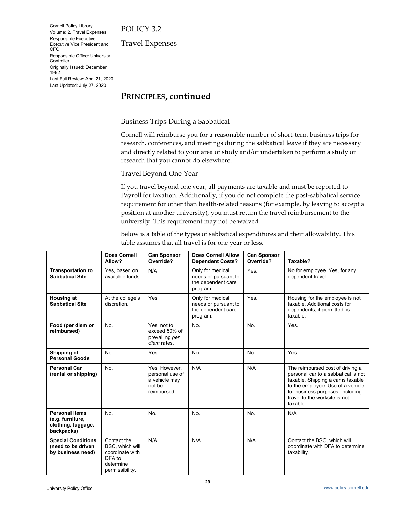Cornell Policy Library Volume: 2, Travel Expenses Responsible Executive: Executive Vice President and CFO Responsible Office: University **Controller** Originally Issued: December 1992 Last Full Review: April 21, 2020 Last Updated: July 27, 2020

Travel Expenses

## **PRINCIPLES, continued**

#### Business Trips During a Sabbatical

Cornell will reimburse you for a reasonable number of short-term business trips for research, conferences, and meetings during the sabbatical leave if they are necessary and directly related to your area of study and/or undertaken to perform a study or research that you cannot do elsewhere.

#### Travel Beyond One Year

If you travel beyond one year, all payments are taxable and must be reported to Payroll for taxation. Additionally, if you do not complete the post-sabbatical service requirement for other than health-related reasons (for example, by leaving to accept a position at another university), you must return the travel reimbursement to the university. This requirement may not be waived.

Below is a table of the types of sabbatical expenditures and their allowability. This table assumes that all travel is for one year or less.

|                                                                               | <b>Does Cornell</b><br>Allow?                                                               | <b>Can Sponsor</b><br>Override?                                            | <b>Does Cornell Allow</b><br><b>Dependent Costs?</b>                       | <b>Can Sponsor</b><br>Override? | Taxable?                                                                                                                                                                                                                            |
|-------------------------------------------------------------------------------|---------------------------------------------------------------------------------------------|----------------------------------------------------------------------------|----------------------------------------------------------------------------|---------------------------------|-------------------------------------------------------------------------------------------------------------------------------------------------------------------------------------------------------------------------------------|
| <b>Transportation to</b><br><b>Sabbatical Site</b>                            | Yes, based on<br>available funds.                                                           | N/A                                                                        | Only for medical<br>needs or pursuant to<br>the dependent care<br>program. | Yes.                            | No for employee. Yes, for any<br>dependent travel.                                                                                                                                                                                  |
| <b>Housing at</b><br><b>Sabbatical Site</b>                                   | At the college's<br>discretion.                                                             | Yes.                                                                       | Only for medical<br>needs or pursuant to<br>the dependent care<br>program. | <b>Yes</b>                      | Housing for the employee is not<br>taxable. Additional costs for<br>dependents, if permitted, is<br>taxable.                                                                                                                        |
| Food (per diem or<br>reimbursed)                                              | No.                                                                                         | Yes, not to<br>exceed 50% of<br>prevailing per<br>diem rates.              | No.                                                                        | No.                             | Yes.                                                                                                                                                                                                                                |
| Shipping of<br><b>Personal Goods</b>                                          | No.                                                                                         | Yes.                                                                       | No.                                                                        | No.                             | Yes.                                                                                                                                                                                                                                |
| <b>Personal Car</b><br>(rental or shipping)                                   | No.                                                                                         | Yes. However,<br>personal use of<br>a vehicle may<br>not be<br>reimbursed. | N/A                                                                        | N/A                             | The reimbursed cost of driving a<br>personal car to a sabbatical is not<br>taxable. Shipping a car is taxable<br>to the employee. Use of a vehicle<br>for business purposes, including<br>travel to the worksite is not<br>taxable. |
| <b>Personal Items</b><br>(e.g. furniture,<br>clothing, luggage,<br>backpacks) | No.                                                                                         | No.                                                                        | No.                                                                        | No.                             | N/A                                                                                                                                                                                                                                 |
| <b>Special Conditions</b><br>(need to be driven<br>by business need)          | Contact the<br>BSC, which will<br>coordinate with<br>DFA to<br>determine<br>permissibility. | N/A                                                                        | N/A                                                                        | N/A                             | Contact the BSC, which will<br>coordinate with DFA to determine<br>taxability.                                                                                                                                                      |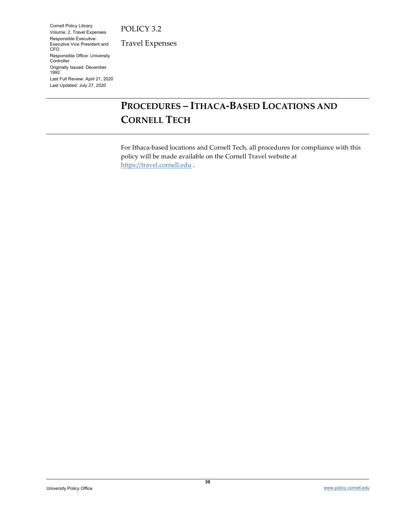Cornell Policy Library Volume: 2, Travel Expenses Responsible Executive: Executive Vice President and CFO Responsible Office: University **Controller** Originally Issued: December 1992 Last Full Review: April 21, 2020 Last Updated: July 27, 2020

Travel Expenses

# <span id="page-29-0"></span>**PROCEDURES – ITHACA-BASED LOCATIONS AND CORNELL TECH**

For Ithaca-based locations and Cornell Tech, all procedures for compliance with this policy will be made available on the Cornell Travel website at [https://travel.cornell.edu](https://travel.cornell.edu/) .